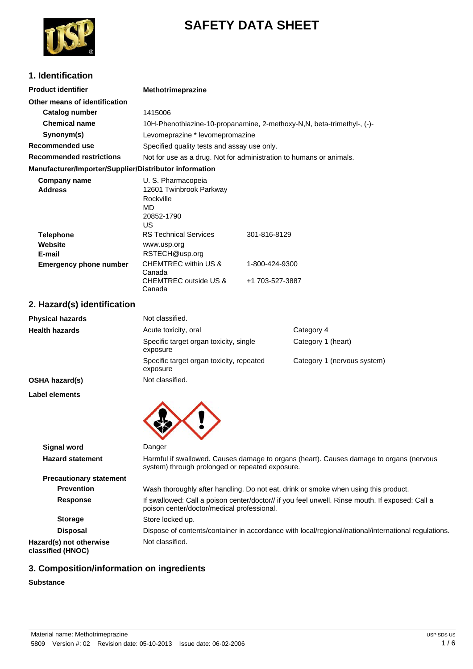

# **SAFETY DATA SHEET**

## **1. Identification**

| <b>Product identifier</b>                              | <b>Methotrimeprazine</b>                                                               |                                                                        |  |
|--------------------------------------------------------|----------------------------------------------------------------------------------------|------------------------------------------------------------------------|--|
| Other means of identification                          |                                                                                        |                                                                        |  |
| Catalog number                                         | 1415006                                                                                |                                                                        |  |
| <b>Chemical name</b>                                   |                                                                                        | 10H-Phenothiazine-10-propanamine, 2-methoxy-N,N, beta-trimethyl-, (-)- |  |
| Synonym(s)                                             | Levomeprazine * levomepromazine                                                        |                                                                        |  |
| Recommended use                                        | Specified quality tests and assay use only.                                            |                                                                        |  |
| <b>Recommended restrictions</b>                        | Not for use as a drug. Not for administration to humans or animals.                    |                                                                        |  |
| Manufacturer/Importer/Supplier/Distributor information |                                                                                        |                                                                        |  |
| Company name<br><b>Address</b>                         | U. S. Pharmacopeia<br>12601 Twinbrook Parkway<br>Rockville<br>MD.<br>20852-1790<br>US. |                                                                        |  |
| <b>Telephone</b>                                       | <b>RS Technical Services</b>                                                           | 301-816-8129                                                           |  |
| Website<br>E-mail                                      | www.usp.org<br>RSTECH@usp.org                                                          |                                                                        |  |

| E-mail                        | RSTECH@usp.org                  |                 |
|-------------------------------|---------------------------------|-----------------|
| <b>Emergency phone number</b> | CHEMTREC within US &<br>Canada  | 1-800-424-9300  |
|                               | CHEMTREC outside US &<br>Canada | +1 703-527-3887 |

## **2. Hazard(s) identification**

| Not classified.                                      |                             |
|------------------------------------------------------|-----------------------------|
| Acute toxicity, oral                                 | Category 4                  |
| Specific target organ toxicity, single<br>exposure   | Category 1 (heart)          |
| Specific target organ toxicity, repeated<br>exposure | Category 1 (nervous system) |
| Not classified.                                      |                             |
|                                                      |                             |

**Label elements**



| <b>Signal word</b>                           | Danger                                                                                                                                        |
|----------------------------------------------|-----------------------------------------------------------------------------------------------------------------------------------------------|
| <b>Hazard statement</b>                      | Harmful if swallowed. Causes damage to organs (heart). Causes damage to organs (nervous<br>system) through prolonged or repeated exposure.    |
| <b>Precautionary statement</b>               |                                                                                                                                               |
| <b>Prevention</b>                            | Wash thoroughly after handling. Do not eat, drink or smoke when using this product.                                                           |
| Response                                     | If swallowed: Call a poison center/doctor// if you feel unwell. Rinse mouth. If exposed: Call a<br>poison center/doctor/medical professional. |
| <b>Storage</b>                               | Store locked up.                                                                                                                              |
| <b>Disposal</b>                              | Dispose of contents/container in accordance with local/regional/national/international regulations.                                           |
| Hazard(s) not otherwise<br>classified (HNOC) | Not classified.                                                                                                                               |

## **3. Composition/information on ingredients**

#### **Substance**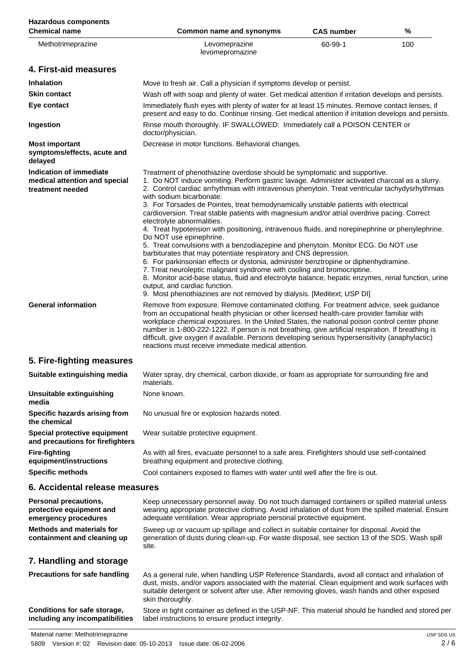| <b>Hazardous components</b><br><b>Chemical name</b>                                 | <b>Common name and synonyms</b>                                                                                                                                                                                                                                                                                                                                                                                                                                                                                                                                                                                                                                                                                                                                                                                                                                                                                                                                                                                                                                                                                                                                                                        | <b>CAS number</b> | %   |
|-------------------------------------------------------------------------------------|--------------------------------------------------------------------------------------------------------------------------------------------------------------------------------------------------------------------------------------------------------------------------------------------------------------------------------------------------------------------------------------------------------------------------------------------------------------------------------------------------------------------------------------------------------------------------------------------------------------------------------------------------------------------------------------------------------------------------------------------------------------------------------------------------------------------------------------------------------------------------------------------------------------------------------------------------------------------------------------------------------------------------------------------------------------------------------------------------------------------------------------------------------------------------------------------------------|-------------------|-----|
| Methotrimeprazine                                                                   | Levomeprazine<br>levomepromazine                                                                                                                                                                                                                                                                                                                                                                                                                                                                                                                                                                                                                                                                                                                                                                                                                                                                                                                                                                                                                                                                                                                                                                       | 60-99-1           | 100 |
| 4. First-aid measures                                                               |                                                                                                                                                                                                                                                                                                                                                                                                                                                                                                                                                                                                                                                                                                                                                                                                                                                                                                                                                                                                                                                                                                                                                                                                        |                   |     |
| <b>Inhalation</b>                                                                   | Move to fresh air. Call a physician if symptoms develop or persist.                                                                                                                                                                                                                                                                                                                                                                                                                                                                                                                                                                                                                                                                                                                                                                                                                                                                                                                                                                                                                                                                                                                                    |                   |     |
| <b>Skin contact</b>                                                                 | Wash off with soap and plenty of water. Get medical attention if irritation develops and persists.                                                                                                                                                                                                                                                                                                                                                                                                                                                                                                                                                                                                                                                                                                                                                                                                                                                                                                                                                                                                                                                                                                     |                   |     |
| Eye contact                                                                         | Immediately flush eyes with plenty of water for at least 15 minutes. Remove contact lenses, if<br>present and easy to do. Continue rinsing. Get medical attention if irritation develops and persists.                                                                                                                                                                                                                                                                                                                                                                                                                                                                                                                                                                                                                                                                                                                                                                                                                                                                                                                                                                                                 |                   |     |
| Ingestion                                                                           | Rinse mouth thoroughly. IF SWALLOWED: Immediately call a POISON CENTER or<br>doctor/physician.                                                                                                                                                                                                                                                                                                                                                                                                                                                                                                                                                                                                                                                                                                                                                                                                                                                                                                                                                                                                                                                                                                         |                   |     |
| <b>Most important</b><br>symptoms/effects, acute and<br>delayed                     | Decrease in motor functions. Behavioral changes.                                                                                                                                                                                                                                                                                                                                                                                                                                                                                                                                                                                                                                                                                                                                                                                                                                                                                                                                                                                                                                                                                                                                                       |                   |     |
| <b>Indication of immediate</b><br>medical attention and special<br>treatment needed | Treatment of phenothiazine overdose should be symptomatic and supportive.<br>1. Do NOT induce vomiting. Perform gastric lavage. Administer activated charcoal as a slurry.<br>2. Control cardiac arrhythmias with intravenous phenytoin. Treat ventricular tachydysrhythmias<br>with sodium bicarbonate.<br>3. For Torsades de Pointes, treat hemodynamically unstable patients with electrical<br>cardioversion. Treat stable patients with magnesium and/or atrial overdrive pacing. Correct<br>electrolyte abnormalities.<br>4. Treat hypotension with positioning, intravenous fluids, and norepinephrine or phenylephrine.<br>Do NOT use epinephrine.<br>5. Treat convulsions with a benzodiazepine and phenytoin. Monitor ECG. Do NOT use<br>barbiturates that may potentiate respiratory and CNS depression.<br>6. For parkinsonian effects or dystonia, administer benztropine or diphenhydramine.<br>7. Treat neuroleptic malignant syndrome with cooling and bromocriptine.<br>8. Monitor acid-base status, fluid and electrolyte balance, hepatic enzymes, renal function, urine<br>output, and cardiac function.<br>9. Most phenothiazines are not removed by dialysis. [Meditext; USP DI] |                   |     |
| <b>General information</b>                                                          | Remove from exposure. Remove contaminated clothing. For treatment advice, seek guidance<br>from an occupational health physician or other licensed health-care provider familiar with<br>workplace chemical exposures. In the United States, the national poison control center phone<br>number is 1-800-222-1222. If person is not breathing, give artificial respiration. If breathing is<br>difficult, give oxygen if available. Persons developing serious hypersensitivity (anaphylactic)<br>reactions must receive immediate medical attention.                                                                                                                                                                                                                                                                                                                                                                                                                                                                                                                                                                                                                                                  |                   |     |
| 5. Fire-fighting measures                                                           |                                                                                                                                                                                                                                                                                                                                                                                                                                                                                                                                                                                                                                                                                                                                                                                                                                                                                                                                                                                                                                                                                                                                                                                                        |                   |     |
| Suitable extinguishing media                                                        | Water spray, dry chemical, carbon dioxide, or foam as appropriate for surrounding fire and<br>materials.                                                                                                                                                                                                                                                                                                                                                                                                                                                                                                                                                                                                                                                                                                                                                                                                                                                                                                                                                                                                                                                                                               |                   |     |
| Unsuitable extinguishing<br>media                                                   | None known.                                                                                                                                                                                                                                                                                                                                                                                                                                                                                                                                                                                                                                                                                                                                                                                                                                                                                                                                                                                                                                                                                                                                                                                            |                   |     |
| Specific hazards arising from<br>the chemical                                       | No unusual fire or explosion hazards noted.                                                                                                                                                                                                                                                                                                                                                                                                                                                                                                                                                                                                                                                                                                                                                                                                                                                                                                                                                                                                                                                                                                                                                            |                   |     |
| Special protective equipment<br>and precautions for firefighters                    | Wear suitable protective equipment.                                                                                                                                                                                                                                                                                                                                                                                                                                                                                                                                                                                                                                                                                                                                                                                                                                                                                                                                                                                                                                                                                                                                                                    |                   |     |
| <b>Fire-fighting</b><br>equipment/instructions                                      | As with all fires, evacuate personnel to a safe area. Firefighters should use self-contained<br>breathing equipment and protective clothing.                                                                                                                                                                                                                                                                                                                                                                                                                                                                                                                                                                                                                                                                                                                                                                                                                                                                                                                                                                                                                                                           |                   |     |
| <b>Specific methods</b>                                                             | Cool containers exposed to flames with water until well after the fire is out.                                                                                                                                                                                                                                                                                                                                                                                                                                                                                                                                                                                                                                                                                                                                                                                                                                                                                                                                                                                                                                                                                                                         |                   |     |
| 6. Accidental release measures                                                      |                                                                                                                                                                                                                                                                                                                                                                                                                                                                                                                                                                                                                                                                                                                                                                                                                                                                                                                                                                                                                                                                                                                                                                                                        |                   |     |
| <b>Personal precautions,</b><br>protective equipment and<br>emergency procedures    | Keep unnecessary personnel away. Do not touch damaged containers or spilled material unless<br>wearing appropriate protective clothing. Avoid inhalation of dust from the spilled material. Ensure<br>adequate ventilation. Wear appropriate personal protective equipment.                                                                                                                                                                                                                                                                                                                                                                                                                                                                                                                                                                                                                                                                                                                                                                                                                                                                                                                            |                   |     |
| <b>Methods and materials for</b><br>containment and cleaning up                     | Sweep up or vacuum up spillage and collect in suitable container for disposal. Avoid the<br>generation of dusts during clean-up. For waste disposal, see section 13 of the SDS. Wash spill<br>site.                                                                                                                                                                                                                                                                                                                                                                                                                                                                                                                                                                                                                                                                                                                                                                                                                                                                                                                                                                                                    |                   |     |
| 7. Handling and storage                                                             |                                                                                                                                                                                                                                                                                                                                                                                                                                                                                                                                                                                                                                                                                                                                                                                                                                                                                                                                                                                                                                                                                                                                                                                                        |                   |     |
| <b>Precautions for safe handling</b>                                                | As a general rule, when handling USP Reference Standards, avoid all contact and inhalation of<br>dust, mists, and/or vapors associated with the material. Clean equipment and work surfaces with<br>suitable detergent or solvent after use. After removing gloves, wash hands and other exposed<br>skin thoroughly.                                                                                                                                                                                                                                                                                                                                                                                                                                                                                                                                                                                                                                                                                                                                                                                                                                                                                   |                   |     |
| Conditions for safe storage,<br>including any incompatibilities                     | Store in tight container as defined in the USP-NF. This material should be handled and stored per<br>label instructions to ensure product integrity.                                                                                                                                                                                                                                                                                                                                                                                                                                                                                                                                                                                                                                                                                                                                                                                                                                                                                                                                                                                                                                                   |                   |     |

5809 Version #: 02 Revision date: 05-10-2013 Issue date: 06-02-2006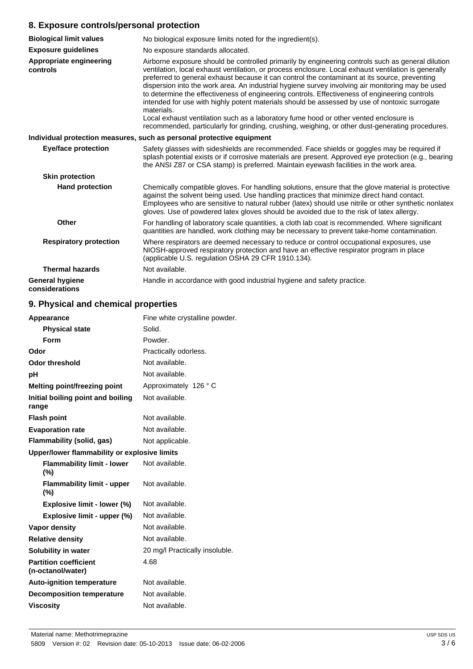#### **8. Exposure controls/personal protection**

| <b>Biological limit values</b>           | No biological exposure limits noted for the ingredient(s).                                                                                                                                                                                                                                                                                                                                                                                                                                                                                                                                                                                                                                                                                                                                                                  |
|------------------------------------------|-----------------------------------------------------------------------------------------------------------------------------------------------------------------------------------------------------------------------------------------------------------------------------------------------------------------------------------------------------------------------------------------------------------------------------------------------------------------------------------------------------------------------------------------------------------------------------------------------------------------------------------------------------------------------------------------------------------------------------------------------------------------------------------------------------------------------------|
| <b>Exposure guidelines</b>               | No exposure standards allocated.                                                                                                                                                                                                                                                                                                                                                                                                                                                                                                                                                                                                                                                                                                                                                                                            |
| Appropriate engineering<br>controls      | Airborne exposure should be controlled primarily by engineering controls such as general dilution<br>ventilation, local exhaust ventilation, or process enclosure. Local exhaust ventilation is generally<br>preferred to general exhaust because it can control the contaminant at its source, preventing<br>dispersion into the work area. An industrial hygiene survey involving air monitoring may be used<br>to determine the effectiveness of engineering controls. Effectiveness of engineering controls<br>intended for use with highly potent materials should be assessed by use of nontoxic surrogate<br>materials.<br>Local exhaust ventilation such as a laboratory fume hood or other vented enclosure is<br>recommended, particularly for grinding, crushing, weighing, or other dust-generating procedures. |
|                                          | Individual protection measures, such as personal protective equipment                                                                                                                                                                                                                                                                                                                                                                                                                                                                                                                                                                                                                                                                                                                                                       |
| <b>Eye/face protection</b>               | Safety glasses with sideshields are recommended. Face shields or goggles may be required if<br>splash potential exists or if corrosive materials are present. Approved eye protection (e.g., bearing<br>the ANSI Z87 or CSA stamp) is preferred. Maintain eyewash facilities in the work area.                                                                                                                                                                                                                                                                                                                                                                                                                                                                                                                              |
| <b>Skin protection</b>                   |                                                                                                                                                                                                                                                                                                                                                                                                                                                                                                                                                                                                                                                                                                                                                                                                                             |
| <b>Hand protection</b>                   | Chemically compatible gloves. For handling solutions, ensure that the glove material is protective<br>against the solvent being used. Use handling practices that minimize direct hand contact.<br>Employees who are sensitive to natural rubber (latex) should use nitrile or other synthetic nonlatex<br>gloves. Use of powdered latex gloves should be avoided due to the risk of latex allergy.                                                                                                                                                                                                                                                                                                                                                                                                                         |
| <b>Other</b>                             | For handling of laboratory scale quantities, a cloth lab coat is recommended. Where significant<br>quantities are handled, work clothing may be necessary to prevent take-home contamination.                                                                                                                                                                                                                                                                                                                                                                                                                                                                                                                                                                                                                               |
| <b>Respiratory protection</b>            | Where respirators are deemed necessary to reduce or control occupational exposures, use<br>NIOSH-approved respiratory protection and have an effective respirator program in place<br>(applicable U.S. regulation OSHA 29 CFR 1910.134).                                                                                                                                                                                                                                                                                                                                                                                                                                                                                                                                                                                    |
| <b>Thermal hazards</b>                   | Not available.                                                                                                                                                                                                                                                                                                                                                                                                                                                                                                                                                                                                                                                                                                                                                                                                              |
| <b>General hygiene</b><br>considerations | Handle in accordance with good industrial hygiene and safety practice.                                                                                                                                                                                                                                                                                                                                                                                                                                                                                                                                                                                                                                                                                                                                                      |

## **9. Physical and chemical properties**

| Fine white crystalline powder.<br>Appearance      |                                |
|---------------------------------------------------|--------------------------------|
| <b>Physical state</b>                             | Solid.                         |
| Form                                              | Powder.                        |
| Odor                                              | Practically odorless.          |
| <b>Odor threshold</b>                             | Not available.                 |
| рH                                                | Not available.                 |
| Melting point/freezing point                      | Approximately 126 ° C          |
| Initial boiling point and boiling<br>range        | Not available.                 |
| <b>Flash point</b>                                | Not available.                 |
| <b>Evaporation rate</b>                           | Not available.                 |
| Flammability (solid, gas)                         | Not applicable.                |
| Upper/lower flammability or explosive limits      |                                |
| <b>Flammability limit - lower</b><br>$(\%)$       | Not available.                 |
| <b>Flammability limit - upper</b><br>(%)          | Not available.                 |
| Explosive limit - lower (%)                       | Not available.                 |
| Explosive limit - upper (%)                       | Not available.                 |
| Vapor density                                     | Not available.                 |
| <b>Relative density</b>                           | Not available.                 |
| Solubility in water                               | 20 mg/l Practically insoluble. |
| <b>Partition coefficient</b><br>(n-octanol/water) | 4.68                           |
| <b>Auto-ignition temperature</b>                  | Not available.                 |
| <b>Decomposition temperature</b>                  | Not available.                 |
| <b>Viscosity</b>                                  | Not available.                 |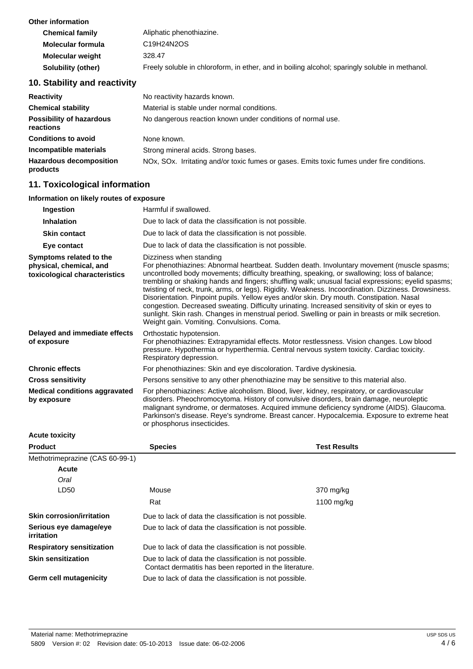| <b>Other information</b> |                                                                                                |
|--------------------------|------------------------------------------------------------------------------------------------|
| <b>Chemical family</b>   | Aliphatic phenothiazine.                                                                       |
| Molecular formula        | C <sub>19</sub> H <sub>24</sub> N <sub>2</sub> O <sub>S</sub>                                  |
| <b>Molecular weight</b>  | 328.47                                                                                         |
| Solubility (other)       | Freely soluble in chloroform, in ether, and in boiling alcohol; sparingly soluble in methanol. |

## **10. Stability and reactivity**

| <b>Reactivity</b>                            | No reactivity hazards known.                                                                                         |
|----------------------------------------------|----------------------------------------------------------------------------------------------------------------------|
| <b>Chemical stability</b>                    | Material is stable under normal conditions.                                                                          |
| <b>Possibility of hazardous</b><br>reactions | No dangerous reaction known under conditions of normal use.                                                          |
| <b>Conditions to avoid</b>                   | None known.                                                                                                          |
| Incompatible materials                       | Strong mineral acids. Strong bases.                                                                                  |
| <b>Hazardous decomposition</b><br>products   | NO <sub>x</sub> , SO <sub>x</sub> . Irritating and/or toxic fumes or gases. Emits toxic fumes under fire conditions. |

## **11. Toxicological information**

#### **Information on likely routes of exposure**

| Ingestion                                                                           | Harmful if swallowed.                                                                                                                                                                                                                                                                                                                                                                                                                                                                                                                                                                                                                                                                                                                                                             |
|-------------------------------------------------------------------------------------|-----------------------------------------------------------------------------------------------------------------------------------------------------------------------------------------------------------------------------------------------------------------------------------------------------------------------------------------------------------------------------------------------------------------------------------------------------------------------------------------------------------------------------------------------------------------------------------------------------------------------------------------------------------------------------------------------------------------------------------------------------------------------------------|
| <b>Inhalation</b>                                                                   | Due to lack of data the classification is not possible.                                                                                                                                                                                                                                                                                                                                                                                                                                                                                                                                                                                                                                                                                                                           |
| <b>Skin contact</b>                                                                 | Due to lack of data the classification is not possible.                                                                                                                                                                                                                                                                                                                                                                                                                                                                                                                                                                                                                                                                                                                           |
| Eye contact                                                                         | Due to lack of data the classification is not possible.                                                                                                                                                                                                                                                                                                                                                                                                                                                                                                                                                                                                                                                                                                                           |
| Symptoms related to the<br>physical, chemical, and<br>toxicological characteristics | Dizziness when standing<br>For phenothiazines: Abnormal heartbeat. Sudden death. Involuntary movement (muscle spasms;<br>uncontrolled body movements; difficulty breathing, speaking, or swallowing; loss of balance;<br>trembling or shaking hands and fingers; shuffling walk; unusual facial expressions; eyelid spasms;<br>twisting of neck, trunk, arms, or legs). Rigidity. Weakness. Incoordination. Dizziness. Drowsiness.<br>Disorientation. Pinpoint pupils. Yellow eyes and/or skin. Dry mouth. Constipation. Nasal<br>congestion. Decreased sweating. Difficulty urinating. Increased sensitivity of skin or eyes to<br>sunlight. Skin rash. Changes in menstrual period. Swelling or pain in breasts or milk secretion.<br>Weight gain. Vomiting. Convulsions. Coma. |
| Delayed and immediate effects<br>of exposure                                        | Orthostatic hypotension.<br>For phenothiazines: Extrapyramidal effects. Motor restlessness. Vision changes. Low blood<br>pressure. Hypothermia or hyperthermia. Central nervous system toxicity. Cardiac toxicity.<br>Respiratory depression.                                                                                                                                                                                                                                                                                                                                                                                                                                                                                                                                     |
| <b>Chronic effects</b>                                                              | For phenothiazines: Skin and eye discoloration. Tardive dyskinesia.                                                                                                                                                                                                                                                                                                                                                                                                                                                                                                                                                                                                                                                                                                               |
| <b>Cross sensitivity</b>                                                            | Persons sensitive to any other phenothiazine may be sensitive to this material also.                                                                                                                                                                                                                                                                                                                                                                                                                                                                                                                                                                                                                                                                                              |
| <b>Medical conditions aggravated</b><br>by exposure                                 | For phenothiazines: Active alcoholism. Blood, liver, kidney, respiratory, or cardiovascular<br>disorders. Pheochromocytoma. History of convulsive disorders, brain damage, neuroleptic<br>malignant syndrome, or dermatoses. Acquired immune deficiency syndrome (AIDS). Glaucoma.<br>Parkinson's disease. Reye's syndrome. Breast cancer. Hypocalcemia. Exposure to extreme heat<br>or phosphorus insecticides.                                                                                                                                                                                                                                                                                                                                                                  |

**Acute toxicity**

| <b>Product</b>                              | <b>Species</b>                                                                                                     | <b>Test Results</b> |
|---------------------------------------------|--------------------------------------------------------------------------------------------------------------------|---------------------|
| Methotrimeprazine (CAS 60-99-1)             |                                                                                                                    |                     |
| Acute                                       |                                                                                                                    |                     |
| Oral                                        |                                                                                                                    |                     |
| LD50                                        | Mouse                                                                                                              | 370 mg/kg           |
|                                             | Rat                                                                                                                | 1100 mg/kg          |
| <b>Skin corrosion/irritation</b>            | Due to lack of data the classification is not possible.                                                            |                     |
| Serious eye damage/eye<br><i>irritation</i> | Due to lack of data the classification is not possible.                                                            |                     |
| <b>Respiratory sensitization</b>            | Due to lack of data the classification is not possible.                                                            |                     |
| <b>Skin sensitization</b>                   | Due to lack of data the classification is not possible.<br>Contact dermatitis has been reported in the literature. |                     |
| <b>Germ cell mutagenicity</b>               | Due to lack of data the classification is not possible.                                                            |                     |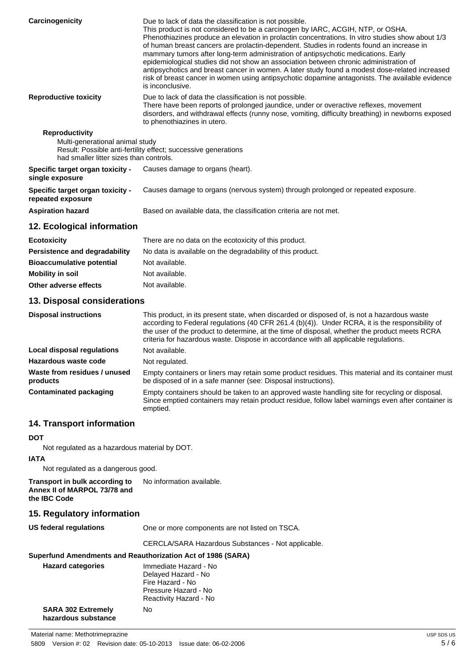| Carcinogenicity                                                                                     | Due to lack of data the classification is not possible.<br>This product is not considered to be a carcinogen by IARC, ACGIH, NTP, or OSHA.<br>Phenothiazines produce an elevation in prolactin concentrations. In vitro studies show about 1/3<br>of human breast cancers are prolactin-dependent. Studies in rodents found an increase in<br>mammary tumors after long-term administration of antipsychotic medications. Early<br>epidemiological studies did not show an association between chronic administration of<br>antipsychotics and breast cancer in women. A later study found a modest dose-related increased<br>risk of breast cancer in women using antipsychotic dopamine antagonists. The available evidence<br>is inconclusive. |
|-----------------------------------------------------------------------------------------------------|---------------------------------------------------------------------------------------------------------------------------------------------------------------------------------------------------------------------------------------------------------------------------------------------------------------------------------------------------------------------------------------------------------------------------------------------------------------------------------------------------------------------------------------------------------------------------------------------------------------------------------------------------------------------------------------------------------------------------------------------------|
| <b>Reproductive toxicity</b>                                                                        | Due to lack of data the classification is not possible.<br>There have been reports of prolonged jaundice, under or overactive reflexes, movement<br>disorders, and withdrawal effects (runny nose, vomiting, difficulty breathing) in newborns exposed<br>to phenothiazines in utero.                                                                                                                                                                                                                                                                                                                                                                                                                                                             |
| <b>Reproductivity</b><br>Multi-generational animal study<br>had smaller litter sizes than controls. | Result: Possible anti-fertility effect; successive generations                                                                                                                                                                                                                                                                                                                                                                                                                                                                                                                                                                                                                                                                                    |
| Specific target organ toxicity -<br>single exposure                                                 | Causes damage to organs (heart).                                                                                                                                                                                                                                                                                                                                                                                                                                                                                                                                                                                                                                                                                                                  |
| Specific target organ toxicity -<br>repeated exposure                                               | Causes damage to organs (nervous system) through prolonged or repeated exposure.                                                                                                                                                                                                                                                                                                                                                                                                                                                                                                                                                                                                                                                                  |
| <b>Aspiration hazard</b>                                                                            | Based on available data, the classification criteria are not met.                                                                                                                                                                                                                                                                                                                                                                                                                                                                                                                                                                                                                                                                                 |
| 12. Ecological information                                                                          |                                                                                                                                                                                                                                                                                                                                                                                                                                                                                                                                                                                                                                                                                                                                                   |
| <b>Ecotoxicity</b>                                                                                  | There are no data on the ecotoxicity of this product.                                                                                                                                                                                                                                                                                                                                                                                                                                                                                                                                                                                                                                                                                             |
| <b>Persistence and degradability</b>                                                                | No data is available on the degradability of this product.                                                                                                                                                                                                                                                                                                                                                                                                                                                                                                                                                                                                                                                                                        |
| <b>Bioaccumulative potential</b>                                                                    | Not available.                                                                                                                                                                                                                                                                                                                                                                                                                                                                                                                                                                                                                                                                                                                                    |
| <b>Mobility in soil</b>                                                                             | Not available.                                                                                                                                                                                                                                                                                                                                                                                                                                                                                                                                                                                                                                                                                                                                    |

## **Other adverse effects** Not available.

#### **13. Disposal considerations**

| <b>Disposal instructions</b>             | This product, in its present state, when discarded or disposed of, is not a hazardous waste<br>according to Federal regulations (40 CFR 261.4 (b)(4)). Under RCRA, it is the responsibility of<br>the user of the product to determine, at the time of disposal, whether the product meets RCRA<br>criteria for hazardous waste. Dispose in accordance with all applicable regulations. |
|------------------------------------------|-----------------------------------------------------------------------------------------------------------------------------------------------------------------------------------------------------------------------------------------------------------------------------------------------------------------------------------------------------------------------------------------|
| Local disposal regulations               | Not available.                                                                                                                                                                                                                                                                                                                                                                          |
| Hazardous waste code                     | Not regulated.                                                                                                                                                                                                                                                                                                                                                                          |
| Waste from residues / unused<br>products | Empty containers or liners may retain some product residues. This material and its container must<br>be disposed of in a safe manner (see: Disposal instructions).                                                                                                                                                                                                                      |
| Contaminated packaging                   | Empty containers should be taken to an approved waste handling site for recycling or disposal.<br>Since emptied containers may retain product residue, follow label warnings even after container is<br>emptied.                                                                                                                                                                        |

### **14. Transport information**

#### **DOT**

Not regulated as a hazardous material by DOT.

#### **IATA**

Not regulated as a dangerous good.

**Transport in bulk according to Annex II of MARPOL 73/78 and the IBC Code** No information available.

#### **15. Regulatory information**

**US federal regulations** One or more components are not listed on TSCA.

CERCLA/SARA Hazardous Substances - Not applicable.

#### **Superfund Amendments and Reauthorization Act of 1986 (SARA)**

| <b>Hazard categories</b>                         | Immediate Hazard - No<br>Delayed Hazard - No<br>Fire Hazard - No<br>Pressure Hazard - No<br>Reactivity Hazard - No |
|--------------------------------------------------|--------------------------------------------------------------------------------------------------------------------|
| <b>SARA 302 Extremely</b><br>hazardous substance | N٥                                                                                                                 |